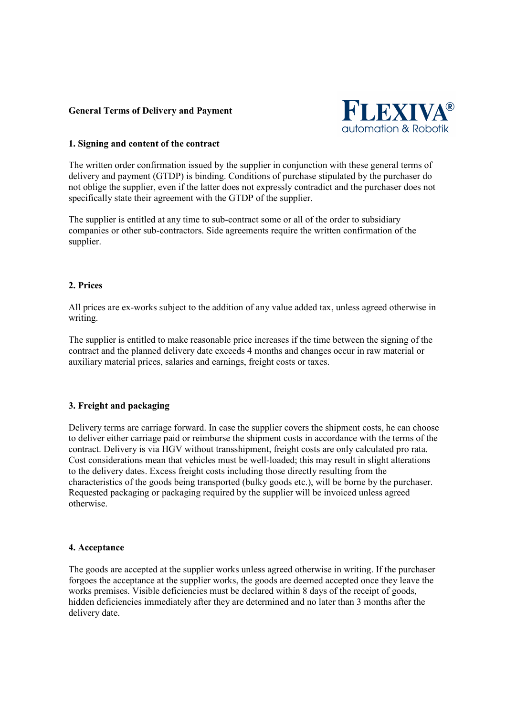## **General Terms of Delivery and Payment**



### **1. Signing and content of the contract**

The written order confirmation issued by the supplier in conjunction with these general terms of delivery and payment (GTDP) is binding. Conditions of purchase stipulated by the purchaser do not oblige the supplier, even if the latter does not expressly contradict and the purchaser does not specifically state their agreement with the GTDP of the supplier.

The supplier is entitled at any time to sub-contract some or all of the order to subsidiary companies or other sub-contractors. Side agreements require the written confirmation of the supplier.

# **2. Prices**

All prices are ex-works subject to the addition of any value added tax, unless agreed otherwise in writing.

The supplier is entitled to make reasonable price increases if the time between the signing of the contract and the planned delivery date exceeds 4 months and changes occur in raw material or auxiliary material prices, salaries and earnings, freight costs or taxes.

## **3. Freight and packaging**

Delivery terms are carriage forward. In case the supplier covers the shipment costs, he can choose to deliver either carriage paid or reimburse the shipment costs in accordance with the terms of the contract. Delivery is via HGV without transshipment, freight costs are only calculated pro rata. Cost considerations mean that vehicles must be well-loaded; this may result in slight alterations to the delivery dates. Excess freight costs including those directly resulting from the characteristics of the goods being transported (bulky goods etc.), will be borne by the purchaser. Requested packaging or packaging required by the supplier will be invoiced unless agreed otherwise.

### **4. Acceptance**

The goods are accepted at the supplier works unless agreed otherwise in writing. If the purchaser forgoes the acceptance at the supplier works, the goods are deemed accepted once they leave the works premises. Visible deficiencies must be declared within 8 days of the receipt of goods, hidden deficiencies immediately after they are determined and no later than 3 months after the delivery date.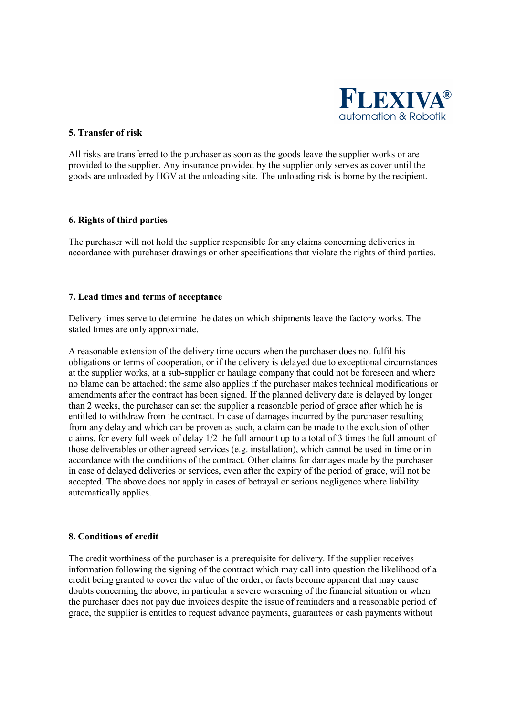

### **5. Transfer of risk**

All risks are transferred to the purchaser as soon as the goods leave the supplier works or are provided to the supplier. Any insurance provided by the supplier only serves as cover until the goods are unloaded by HGV at the unloading site. The unloading risk is borne by the recipient.

### **6. Rights of third parties**

The purchaser will not hold the supplier responsible for any claims concerning deliveries in accordance with purchaser drawings or other specifications that violate the rights of third parties.

### **7. Lead times and terms of acceptance**

Delivery times serve to determine the dates on which shipments leave the factory works. The stated times are only approximate.

A reasonable extension of the delivery time occurs when the purchaser does not fulfil his obligations or terms of cooperation, or if the delivery is delayed due to exceptional circumstances at the supplier works, at a sub-supplier or haulage company that could not be foreseen and where no blame can be attached; the same also applies if the purchaser makes technical modifications or amendments after the contract has been signed. If the planned delivery date is delayed by longer than 2 weeks, the purchaser can set the supplier a reasonable period of grace after which he is entitled to withdraw from the contract. In case of damages incurred by the purchaser resulting from any delay and which can be proven as such, a claim can be made to the exclusion of other claims, for every full week of delay 1/2 the full amount up to a total of 3 times the full amount of those deliverables or other agreed services (e.g. installation), which cannot be used in time or in accordance with the conditions of the contract. Other claims for damages made by the purchaser in case of delayed deliveries or services, even after the expiry of the period of grace, will not be accepted. The above does not apply in cases of betrayal or serious negligence where liability automatically applies.

# **8. Conditions of credit**

The credit worthiness of the purchaser is a prerequisite for delivery. If the supplier receives information following the signing of the contract which may call into question the likelihood of a credit being granted to cover the value of the order, or facts become apparent that may cause doubts concerning the above, in particular a severe worsening of the financial situation or when the purchaser does not pay due invoices despite the issue of reminders and a reasonable period of grace, the supplier is entitles to request advance payments, guarantees or cash payments without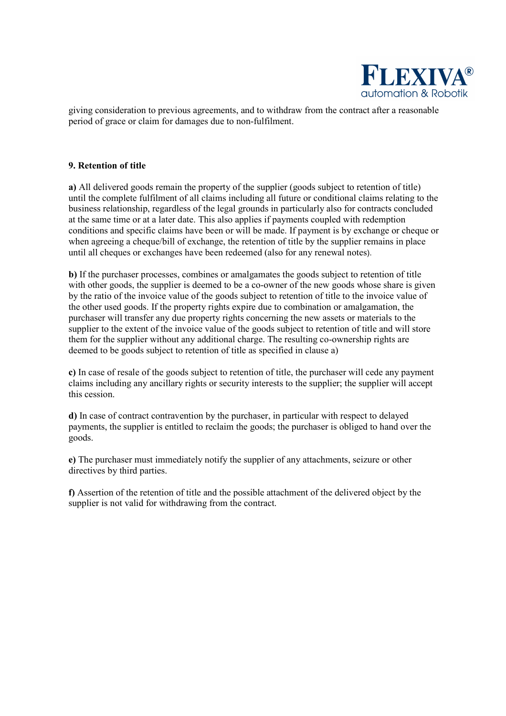

giving consideration to previous agreements, and to withdraw from the contract after a reasonable period of grace or claim for damages due to non-fulfilment.

### **9. Retention of title**

**a)** All delivered goods remain the property of the supplier (goods subject to retention of title) until the complete fulfilment of all claims including all future or conditional claims relating to the business relationship, regardless of the legal grounds in particularly also for contracts concluded at the same time or at a later date. This also applies if payments coupled with redemption conditions and specific claims have been or will be made. If payment is by exchange or cheque or when agreeing a cheque/bill of exchange, the retention of title by the supplier remains in place until all cheques or exchanges have been redeemed (also for any renewal notes).

**b)** If the purchaser processes, combines or amalgamates the goods subject to retention of title with other goods, the supplier is deemed to be a co-owner of the new goods whose share is given by the ratio of the invoice value of the goods subject to retention of title to the invoice value of the other used goods. If the property rights expire due to combination or amalgamation, the purchaser will transfer any due property rights concerning the new assets or materials to the supplier to the extent of the invoice value of the goods subject to retention of title and will store them for the supplier without any additional charge. The resulting co-ownership rights are deemed to be goods subject to retention of title as specified in clause a)

**c)** In case of resale of the goods subject to retention of title, the purchaser will cede any payment claims including any ancillary rights or security interests to the supplier; the supplier will accept this cession.

**d)** In case of contract contravention by the purchaser, in particular with respect to delayed payments, the supplier is entitled to reclaim the goods; the purchaser is obliged to hand over the goods.

**e)** The purchaser must immediately notify the supplier of any attachments, seizure or other directives by third parties.

**f)** Assertion of the retention of title and the possible attachment of the delivered object by the supplier is not valid for withdrawing from the contract.